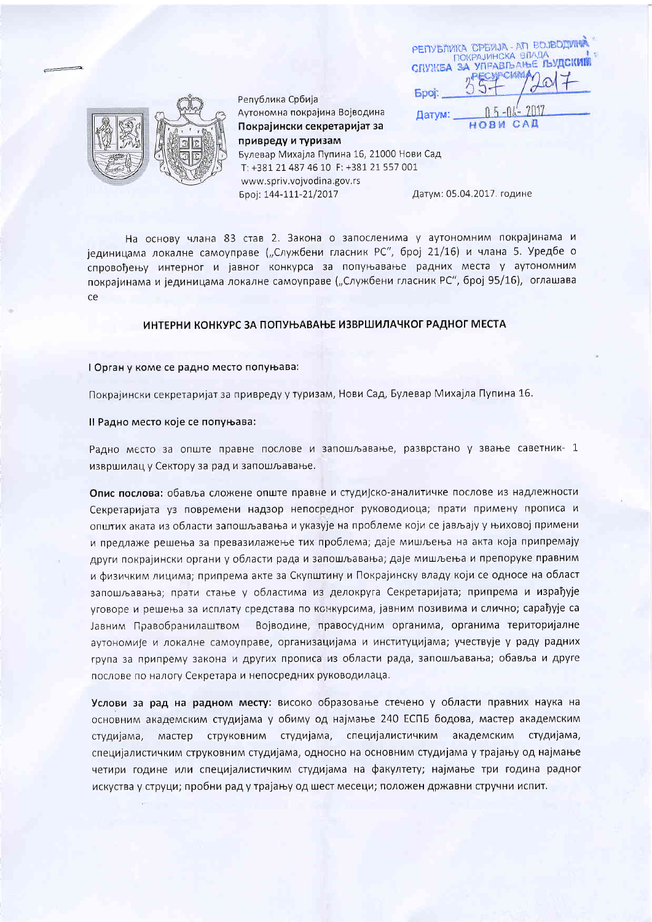|              | РЕПУБЛИКА СРБИЈА - АП ВОЈВОДИМ            |      |  |
|--------------|-------------------------------------------|------|--|
|              | ПОКРАЈИНСКА ВЛАДА<br>ЗА УПРАВЉАЊЕ ЉУДСКИМ |      |  |
| CHYMEA       |                                           |      |  |
| <b>Epoi:</b> |                                           |      |  |
| Датум:       |                                           | 2017 |  |
|              |                                           |      |  |



Република Србија Аутономна покрајина Војводина Покрајински секретаријат за привреду и туризам Булевар Михајла Пупина 16, 21000 Нови Сад T: +381 21 487 46 10 F: +381 21 557 001 www.spriv.vojvodina.gov.rs

Број: 144-111-21/2017

Датум: 05.04.2017. године

На основу члана 83 став 2. Закона о запосленима у аутономним покрајинама и јединицама локалне самоуправе ("Службени гласник РС", број 21/16) и члана 5. Уредбе о спровоћењу интерног и јавног конкурса за попуњавање радних места у аутономним покрајинама и јединицама локалне самоуправе ("Службени гласник РС", број 95/16), оглашава ce

## ИНТЕРНИ КОНКУРС ЗА ПОПУЊАВАЊЕ ИЗВРШИЛАЧКОГ РАДНОГ МЕСТА

## I Орган у коме се радно место попуњава:

Покрајински секретаријат за привреду у туризам, Нови Сад, Булевар Михајла Пупина 16.

II Радно место које се попуњава:

Радно место за опште правне послове и запошљавање, разврстано у звање саветник- 1 извршилац у Сектору за рад и запошљавање.

Опис послова: обавља сложене опште правне и студијско-аналитичке послове из надлежности Секретаријата уз повремени надзор непосредног руководиоца; прати примену прописа и општих аката из области запошљавања и указује на проблеме који се јављају у њиховој примени и предлаже решења за превазилажење тих проблема; даје мишљења на акта која припремају други покрајински органи у области рада и запошљавања; даје мишљења и препоруке правним и физичким лицима; припрема акте за Скупштину и Покрајинску владу који се односе на област запошљавања; прати стање у областима из делокруга Секретаријата; припрема и израђује уговоре и решења за исплату средстава по конкурсима, јавним позивима и слично; сарађује са Јавним Правобранилаштвом Војводине, правосудним органима, органима територијалне аутономије и локалне самоуправе, организацијама и институцијама; учествује у раду радних група за припрему закона и других прописа из области рада, запошљавања; обавља и друге послове по налогу Секретара и непосредних руководилаца.

Услови за рад на радном месту: високо образовање стечено у области правних наука на основним академским студијама у обиму од најмање 240 ЕСПБ бодова, мастер академским мастер струковним студијама, специјалистичким академским студијама, студијама, специјалистичким струковним студијама, односно на основним студијама у трајању од најмање четири године или специјалистичким студијама на факултету; најмање три година радног искуства у струци; пробни рад у трајању од шест месеци; положен државни стручни испит.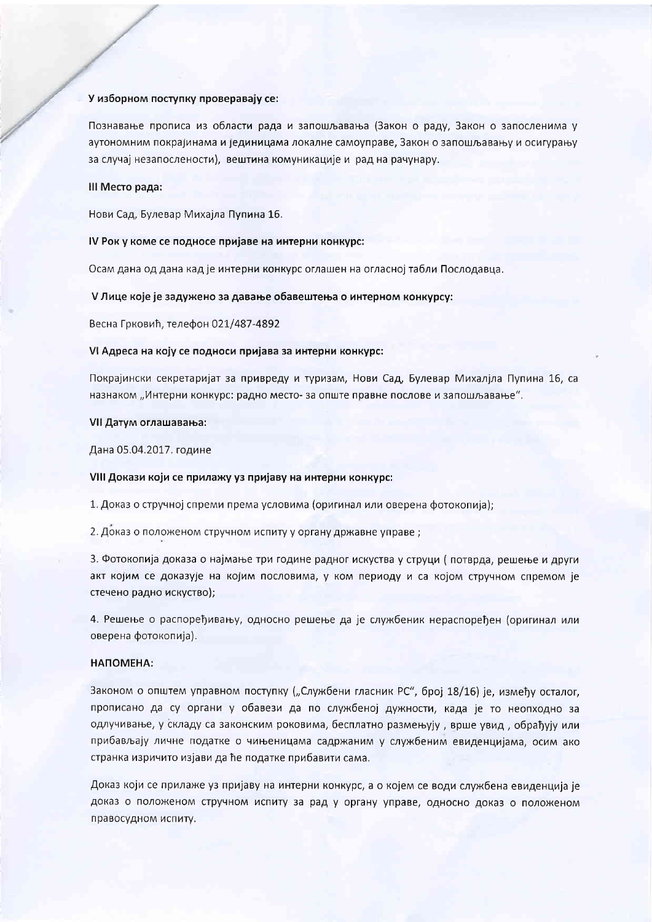### У изборном поступку проверавају се:

Познавање прописа из области рада и запошљавања (Закон о раду, Закон о запосленима у аутономним покрајинама и јединицама локалне самоуправе, Закон о запошљавању и осигурању за случај незапослености), вештина комуникације и рад на рачунару.

## III Место рада:

Нови Сад, Булевар Михајла Пупина 16.

# IV Рок у коме се подносе пријаве на интерни конкурс:

Осам дана од дана кад је интерни конкурс оглашен на огласној табли Послодавца.

V Лице које је задужено за давање обавештења о интерном конкурсу:

Весна Грковић, телефон 021/487-4892

### VI Адреса на коју се подноси пријава за интерни конкурс:

Покрајински секретаријат за привреду и туризам, Нови Сад, Булевар Михалјла Пупина 16, са назнаком "Интерни конкурс: радно место- за опште правне послове и запошљавање".

## VII Датум оглашавања:

Дана 05.04.2017. године

### VIII Докази који се прилажу уз пријаву на интерни конкурс:

1. Доказ о стручној спреми према условима (оригинал или оверена фотокопија);

2. Доказ о положеном стручном испиту у органу државне управе;

3. Фотокопија доказа о најмање три године радног искуства у струци (потврда, решење и други акт којим се доказује на којим пословима, у ком периоду и са којом стручном спремом је стечено радно искуство);

4. Решење о распоређивању, односно решење да је службеник нераспоређен (оригинал или оверена фотокопија).

### НАПОМЕНА:

Законом о општем управном поступку ("Службени гласник РС", број 18/16) је, између осталог, прописано да су органи у обавези да по службеној дужности, када је то неопходно за одлучивање, у складу са законским роковима, бесплатно размењују, врше увид, обрађују или прибављају личне податке о чињеницама садржаним у службеним евиденцијама, осим ако странка изричито изјави да ће податке прибавити сама.

Доказ који се прилаже уз пријаву на интерни конкурс, а о којем се води службена евиденција је доказ о положеном стручном испиту за рад у органу управе, односно доказ о положеном правосудном испиту.